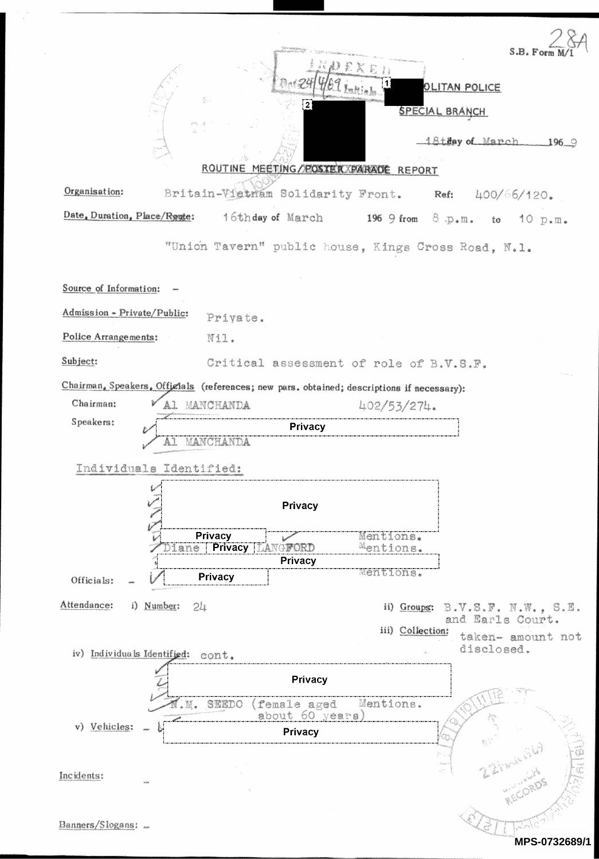